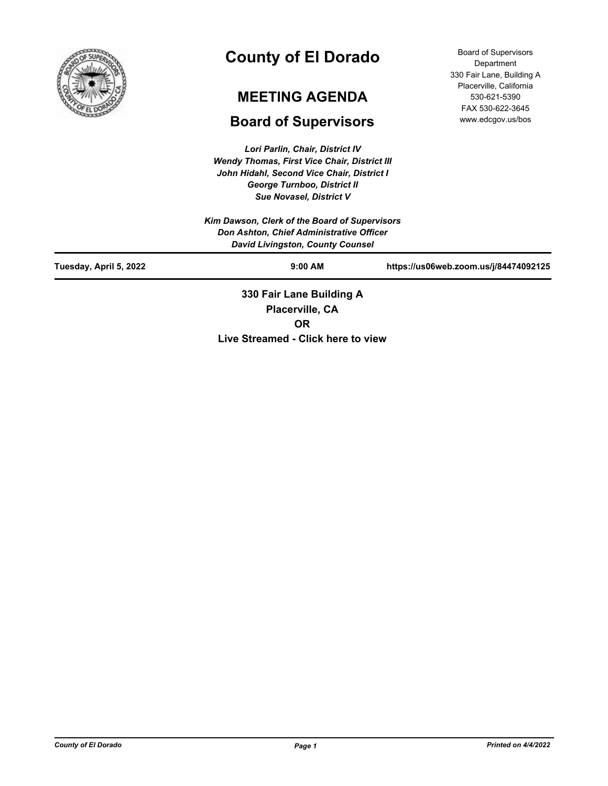

# **County of El Dorado**

## **MEETING AGENDA**

## **Board of Supervisors**

*Lori Parlin, Chair, District IV Wendy Thomas, First Vice Chair, District III John Hidahl, Second Vice Chair, District I George Turnboo, District II Sue Novasel, District V*

Board of Supervisors Department 330 Fair Lane, Building A Placerville, California 530-621-5390 FAX 530-622-3645 www.edcgov.us/bos

| Tuesday, April 5, 2022 | $9:00$ AM<br>330 Fair Lane Building A         | https://us06web.zoom.us/j/84474092125 |
|------------------------|-----------------------------------------------|---------------------------------------|
|                        |                                               |                                       |
|                        | <b>David Livingston, County Counsel</b>       |                                       |
|                        | Don Ashton, Chief Administrative Officer      |                                       |
|                        | Kim Dawson, Clerk of the Board of Supervisors |                                       |

**Placerville, CA OR Live Streamed - Click here to view**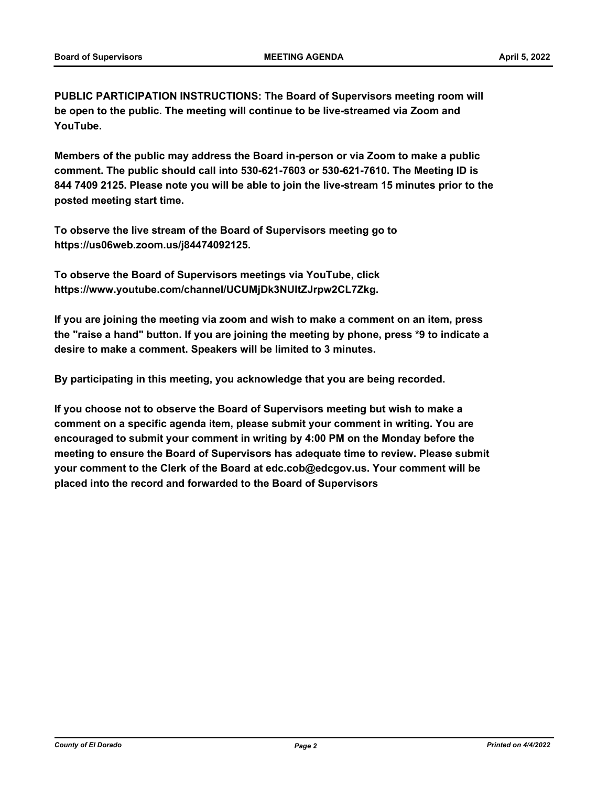**PUBLIC PARTICIPATION INSTRUCTIONS: The Board of Supervisors meeting room will be open to the public. The meeting will continue to be live-streamed via Zoom and YouTube.**

**Members of the public may address the Board in-person or via Zoom to make a public comment. The public should call into 530-621-7603 or 530-621-7610. The Meeting ID is 844 7409 2125. Please note you will be able to join the live-stream 15 minutes prior to the posted meeting start time.**

**To observe the live stream of the Board of Supervisors meeting go to https://us06web.zoom.us/j84474092125.**

**To observe the Board of Supervisors meetings via YouTube, click https://www.youtube.com/channel/UCUMjDk3NUltZJrpw2CL7Zkg.**

**If you are joining the meeting via zoom and wish to make a comment on an item, press the "raise a hand" button. If you are joining the meeting by phone, press \*9 to indicate a desire to make a comment. Speakers will be limited to 3 minutes.**

**By participating in this meeting, you acknowledge that you are being recorded.**

**If you choose not to observe the Board of Supervisors meeting but wish to make a comment on a specific agenda item, please submit your comment in writing. You are encouraged to submit your comment in writing by 4:00 PM on the Monday before the meeting to ensure the Board of Supervisors has adequate time to review. Please submit your comment to the Clerk of the Board at edc.cob@edcgov.us. Your comment will be placed into the record and forwarded to the Board of Supervisors**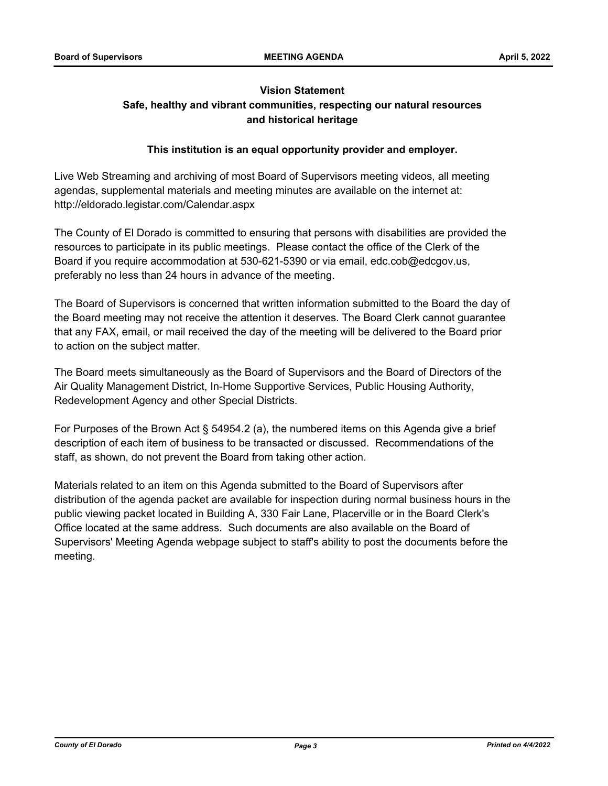## **Vision Statement Safe, healthy and vibrant communities, respecting our natural resources and historical heritage**

## **This institution is an equal opportunity provider and employer.**

Live Web Streaming and archiving of most Board of Supervisors meeting videos, all meeting agendas, supplemental materials and meeting minutes are available on the internet at: http://eldorado.legistar.com/Calendar.aspx

The County of El Dorado is committed to ensuring that persons with disabilities are provided the resources to participate in its public meetings. Please contact the office of the Clerk of the Board if you require accommodation at 530-621-5390 or via email, edc.cob@edcgov.us, preferably no less than 24 hours in advance of the meeting.

The Board of Supervisors is concerned that written information submitted to the Board the day of the Board meeting may not receive the attention it deserves. The Board Clerk cannot guarantee that any FAX, email, or mail received the day of the meeting will be delivered to the Board prior to action on the subject matter.

The Board meets simultaneously as the Board of Supervisors and the Board of Directors of the Air Quality Management District, In-Home Supportive Services, Public Housing Authority, Redevelopment Agency and other Special Districts.

For Purposes of the Brown Act § 54954.2 (a), the numbered items on this Agenda give a brief description of each item of business to be transacted or discussed. Recommendations of the staff, as shown, do not prevent the Board from taking other action.

Materials related to an item on this Agenda submitted to the Board of Supervisors after distribution of the agenda packet are available for inspection during normal business hours in the public viewing packet located in Building A, 330 Fair Lane, Placerville or in the Board Clerk's Office located at the same address. Such documents are also available on the Board of Supervisors' Meeting Agenda webpage subject to staff's ability to post the documents before the meeting.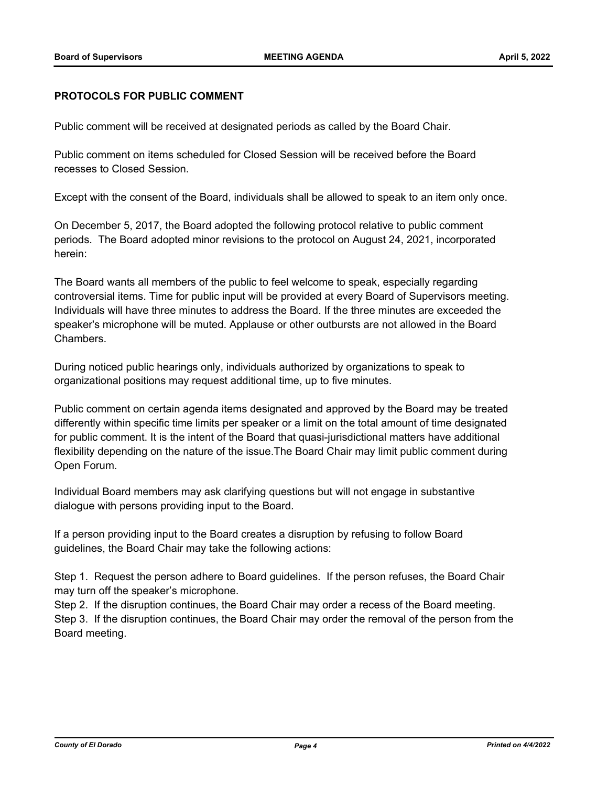### **PROTOCOLS FOR PUBLIC COMMENT**

Public comment will be received at designated periods as called by the Board Chair.

Public comment on items scheduled for Closed Session will be received before the Board recesses to Closed Session.

Except with the consent of the Board, individuals shall be allowed to speak to an item only once.

On December 5, 2017, the Board adopted the following protocol relative to public comment periods. The Board adopted minor revisions to the protocol on August 24, 2021, incorporated herein:

The Board wants all members of the public to feel welcome to speak, especially regarding controversial items. Time for public input will be provided at every Board of Supervisors meeting. Individuals will have three minutes to address the Board. If the three minutes are exceeded the speaker's microphone will be muted. Applause or other outbursts are not allowed in the Board Chambers.

During noticed public hearings only, individuals authorized by organizations to speak to organizational positions may request additional time, up to five minutes.

Public comment on certain agenda items designated and approved by the Board may be treated differently within specific time limits per speaker or a limit on the total amount of time designated for public comment. It is the intent of the Board that quasi-jurisdictional matters have additional flexibility depending on the nature of the issue.The Board Chair may limit public comment during Open Forum.

Individual Board members may ask clarifying questions but will not engage in substantive dialogue with persons providing input to the Board.

If a person providing input to the Board creates a disruption by refusing to follow Board guidelines, the Board Chair may take the following actions:

Step 1. Request the person adhere to Board guidelines. If the person refuses, the Board Chair may turn off the speaker's microphone.

Step 2. If the disruption continues, the Board Chair may order a recess of the Board meeting. Step 3. If the disruption continues, the Board Chair may order the removal of the person from the Board meeting.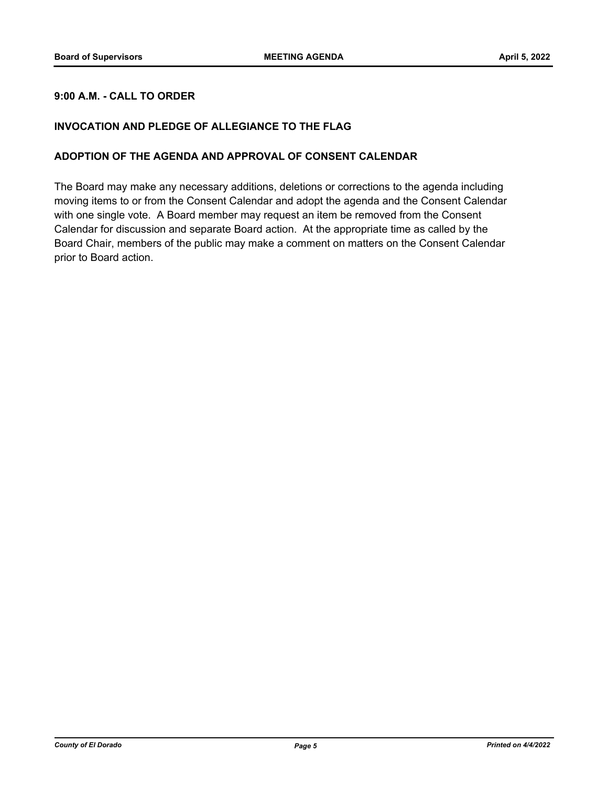## **9:00 A.M. - CALL TO ORDER**

### **INVOCATION AND PLEDGE OF ALLEGIANCE TO THE FLAG**

#### **ADOPTION OF THE AGENDA AND APPROVAL OF CONSENT CALENDAR**

The Board may make any necessary additions, deletions or corrections to the agenda including moving items to or from the Consent Calendar and adopt the agenda and the Consent Calendar with one single vote. A Board member may request an item be removed from the Consent Calendar for discussion and separate Board action. At the appropriate time as called by the Board Chair, members of the public may make a comment on matters on the Consent Calendar prior to Board action.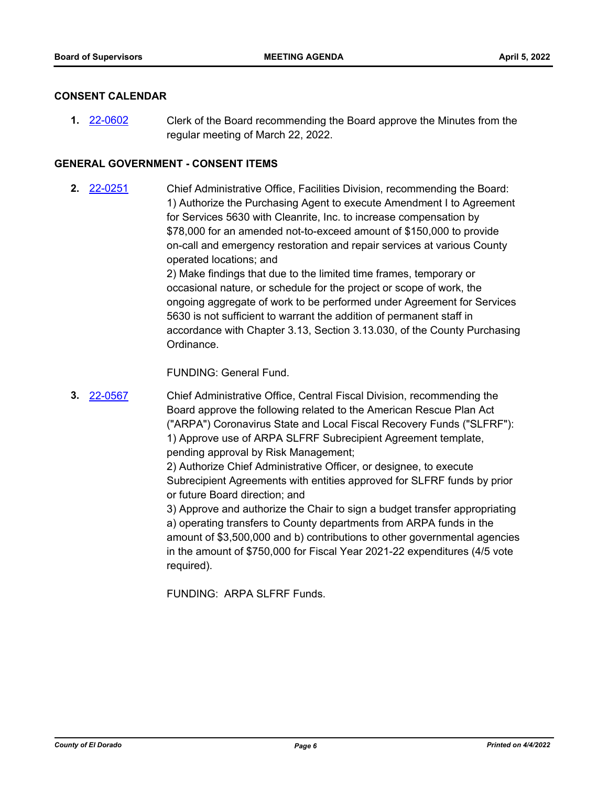#### **CONSENT CALENDAR**

Clerk of the Board recommending the Board approve the Minutes from the regular meeting of March 22, 2022. **1.** [22-0602](http://eldorado.legistar.com/gateway.aspx?m=l&id=/matter.aspx?key=31503)

### **GENERAL GOVERNMENT - CONSENT ITEMS**

Chief Administrative Office, Facilities Division, recommending the Board: 1) Authorize the Purchasing Agent to execute Amendment I to Agreement for Services 5630 with Cleanrite, Inc. to increase compensation by \$78,000 for an amended not-to-exceed amount of \$150,000 to provide on-call and emergency restoration and repair services at various County operated locations; and **2.** [22-0251](http://eldorado.legistar.com/gateway.aspx?m=l&id=/matter.aspx?key=31152)

> 2) Make findings that due to the limited time frames, temporary or occasional nature, or schedule for the project or scope of work, the ongoing aggregate of work to be performed under Agreement for Services 5630 is not sufficient to warrant the addition of permanent staff in accordance with Chapter 3.13, Section 3.13.030, of the County Purchasing Ordinance.

FUNDING: General Fund.

Chief Administrative Office, Central Fiscal Division, recommending the Board approve the following related to the American Rescue Plan Act ("ARPA") Coronavirus State and Local Fiscal Recovery Funds ("SLFRF"): 1) Approve use of ARPA SLFRF Subrecipient Agreement template, pending approval by Risk Management; **3.** [22-0567](http://eldorado.legistar.com/gateway.aspx?m=l&id=/matter.aspx?key=31468)

2) Authorize Chief Administrative Officer, or designee, to execute Subrecipient Agreements with entities approved for SLFRF funds by prior or future Board direction; and

3) Approve and authorize the Chair to sign a budget transfer appropriating a) operating transfers to County departments from ARPA funds in the amount of \$3,500,000 and b) contributions to other governmental agencies in the amount of \$750,000 for Fiscal Year 2021-22 expenditures (4/5 vote required).

FUNDING: ARPA SLFRF Funds.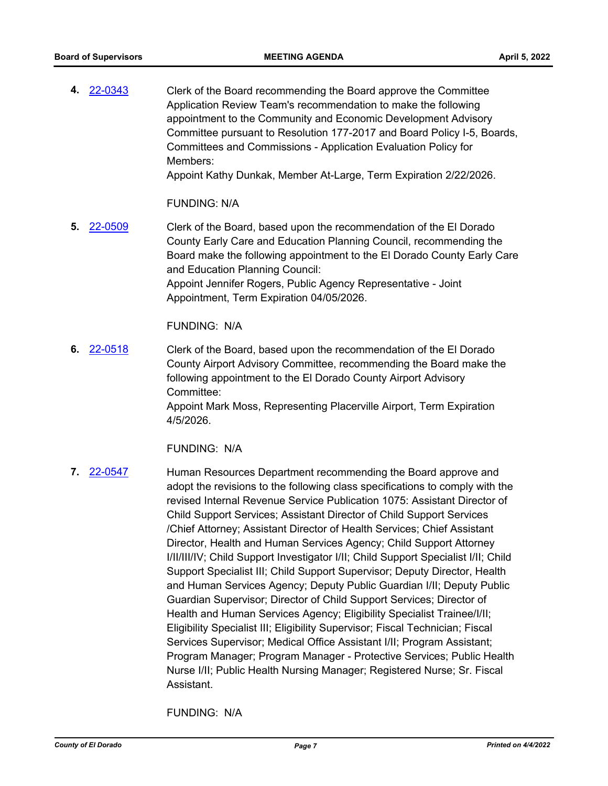Clerk of the Board recommending the Board approve the Committee Application Review Team's recommendation to make the following appointment to the Community and Economic Development Advisory Committee pursuant to Resolution 177-2017 and Board Policy I-5, Boards, Committees and Commissions - Application Evaluation Policy for Members: **4.** [22-0343](http://eldorado.legistar.com/gateway.aspx?m=l&id=/matter.aspx?key=31244)

Appoint Kathy Dunkak, Member At-Large, Term Expiration 2/22/2026.

#### FUNDING: N/A

Clerk of the Board, based upon the recommendation of the El Dorado County Early Care and Education Planning Council, recommending the Board make the following appointment to the El Dorado County Early Care and Education Planning Council: Appoint Jennifer Rogers, Public Agency Representative - Joint Appointment, Term Expiration 04/05/2026. **5.** [22-0509](http://eldorado.legistar.com/gateway.aspx?m=l&id=/matter.aspx?key=31410)

#### FUNDING: N/A

Clerk of the Board, based upon the recommendation of the El Dorado County Airport Advisory Committee, recommending the Board make the following appointment to the El Dorado County Airport Advisory Committee: Appoint Mark Moss, Representing Placerville Airport, Term Expiration 4/5/2026. **6.** [22-0518](http://eldorado.legistar.com/gateway.aspx?m=l&id=/matter.aspx?key=31419)

#### FUNDING: N/A

Human Resources Department recommending the Board approve and adopt the revisions to the following class specifications to comply with the revised Internal Revenue Service Publication 1075: Assistant Director of Child Support Services; Assistant Director of Child Support Services /Chief Attorney; Assistant Director of Health Services; Chief Assistant Director, Health and Human Services Agency; Child Support Attorney I/II/III/IV; Child Support Investigator I/II; Child Support Specialist I/II; Child Support Specialist III; Child Support Supervisor; Deputy Director, Health and Human Services Agency; Deputy Public Guardian I/II; Deputy Public Guardian Supervisor; Director of Child Support Services; Director of Health and Human Services Agency; Eligibility Specialist Trainee/I/II; Eligibility Specialist III; Eligibility Supervisor; Fiscal Technician; Fiscal Services Supervisor; Medical Office Assistant I/II; Program Assistant; Program Manager; Program Manager - Protective Services; Public Health Nurse I/II; Public Health Nursing Manager; Registered Nurse; Sr. Fiscal Assistant. **7.** [22-0547](http://eldorado.legistar.com/gateway.aspx?m=l&id=/matter.aspx?key=31448)

FUNDING: N/A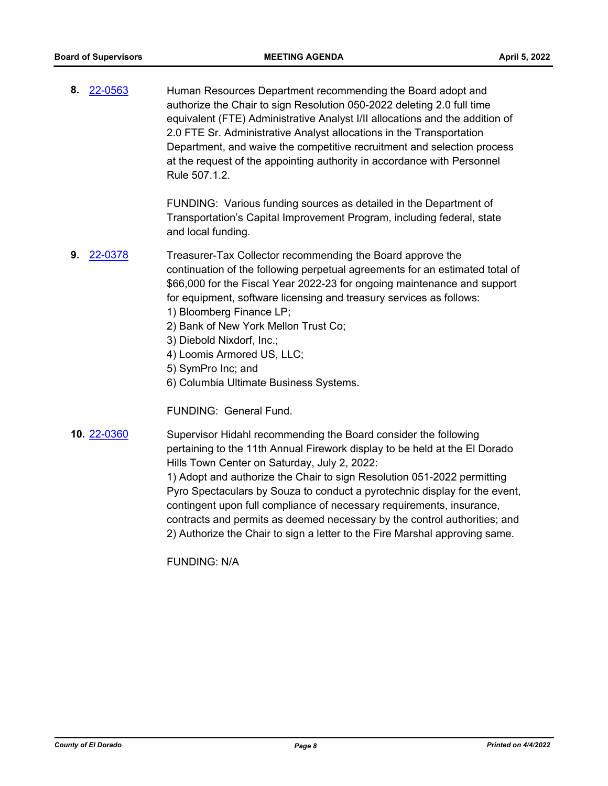Human Resources Department recommending the Board adopt and authorize the Chair to sign Resolution 050-2022 deleting 2.0 full time equivalent (FTE) Administrative Analyst I/II allocations and the addition of 2.0 FTE Sr. Administrative Analyst allocations in the Transportation Department, and waive the competitive recruitment and selection process at the request of the appointing authority in accordance with Personnel Rule 507.1.2. FUNDING: Various funding sources as detailed in the Department of Transportation's Capital Improvement Program, including federal, state and local funding. **8.** [22-0563](http://eldorado.legistar.com/gateway.aspx?m=l&id=/matter.aspx?key=31464) Treasurer-Tax Collector recommending the Board approve the continuation of the following perpetual agreements for an estimated total of \$66,000 for the Fiscal Year 2022-23 for ongoing maintenance and support for equipment, software licensing and treasury services as follows: 1) Bloomberg Finance LP; 2) Bank of New York Mellon Trust Co; 3) Diebold Nixdorf, Inc.; 4) Loomis Armored US, LLC; 5) SymPro Inc; and 6) Columbia Ultimate Business Systems. FUNDING: General Fund. **9.** [22-0378](http://eldorado.legistar.com/gateway.aspx?m=l&id=/matter.aspx?key=31279) Supervisor Hidahl recommending the Board consider the following pertaining to the 11th Annual Firework display to be held at the El Dorado Hills Town Center on Saturday, July 2, 2022: 1) Adopt and authorize the Chair to sign Resolution 051-2022 permitting Pyro Spectaculars by Souza to conduct a pyrotechnic display for the event, contingent upon full compliance of necessary requirements, insurance, contracts and permits as deemed necessary by the control authorities; and 2) Authorize the Chair to sign a letter to the Fire Marshal approving same. **10.** [22-0360](http://eldorado.legistar.com/gateway.aspx?m=l&id=/matter.aspx?key=31261)

FUNDING: N/A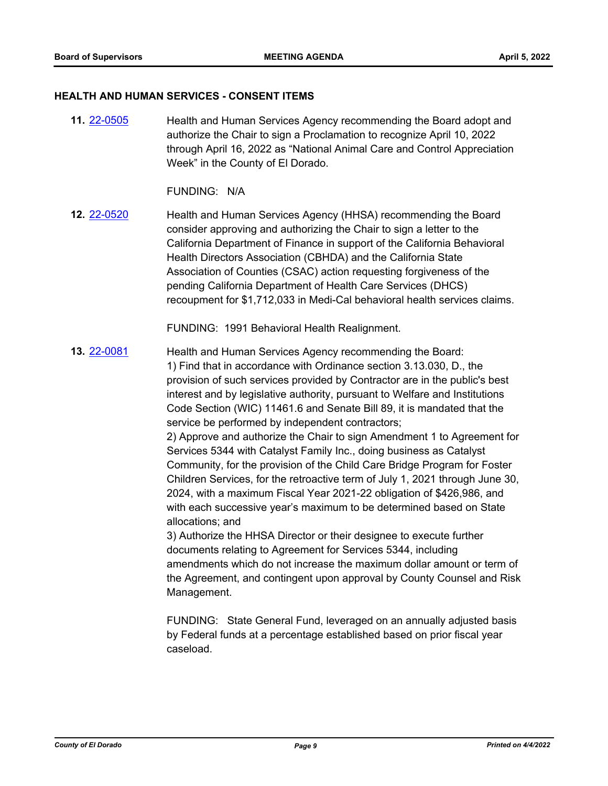#### **HEALTH AND HUMAN SERVICES - CONSENT ITEMS**

Health and Human Services Agency recommending the Board adopt and authorize the Chair to sign a Proclamation to recognize April 10, 2022 through April 16, 2022 as "National Animal Care and Control Appreciation Week" in the County of El Dorado. **11.** [22-0505](http://eldorado.legistar.com/gateway.aspx?m=l&id=/matter.aspx?key=31406)

FUNDING: N/A

Health and Human Services Agency (HHSA) recommending the Board consider approving and authorizing the Chair to sign a letter to the California Department of Finance in support of the California Behavioral Health Directors Association (CBHDA) and the California State Association of Counties (CSAC) action requesting forgiveness of the pending California Department of Health Care Services (DHCS) recoupment for \$1,712,033 in Medi-Cal behavioral health services claims. **12.** [22-0520](http://eldorado.legistar.com/gateway.aspx?m=l&id=/matter.aspx?key=31421)

FUNDING: 1991 Behavioral Health Realignment.

Health and Human Services Agency recommending the Board: 1) Find that in accordance with Ordinance section 3.13.030, D., the provision of such services provided by Contractor are in the public's best interest and by legislative authority, pursuant to Welfare and Institutions Code Section (WIC) 11461.6 and Senate Bill 89, it is mandated that the service be performed by independent contractors; 2) Approve and authorize the Chair to sign Amendment 1 to Agreement for Services 5344 with Catalyst Family Inc., doing business as Catalyst Community, for the provision of the Child Care Bridge Program for Foster Children Services, for the retroactive term of July 1, 2021 through June 30, 2024, with a maximum Fiscal Year 2021-22 obligation of \$426,986, and with each successive year's maximum to be determined based on State allocations; and 3) Authorize the HHSA Director or their designee to execute further documents relating to Agreement for Services 5344, including amendments which do not increase the maximum dollar amount or term of the Agreement, and contingent upon approval by County Counsel and Risk Management. **13.** [22-0081](http://eldorado.legistar.com/gateway.aspx?m=l&id=/matter.aspx?key=30981)

> FUNDING: State General Fund, leveraged on an annually adjusted basis by Federal funds at a percentage established based on prior fiscal year caseload.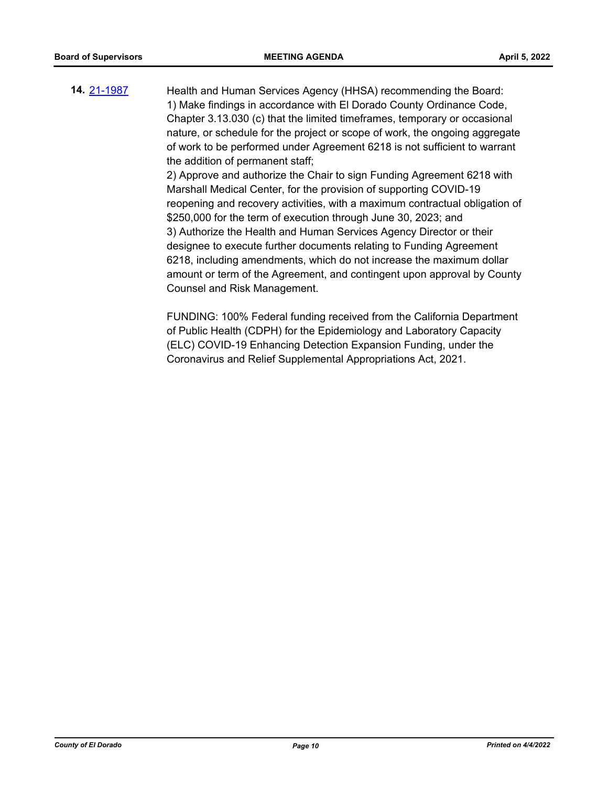Health and Human Services Agency (HHSA) recommending the Board: 1) Make findings in accordance with El Dorado County Ordinance Code, Chapter 3.13.030 (c) that the limited timeframes, temporary or occasional nature, or schedule for the project or scope of work, the ongoing aggregate of work to be performed under Agreement 6218 is not sufficient to warrant the addition of permanent staff; 2) Approve and authorize the Chair to sign Funding Agreement 6218 with Marshall Medical Center, for the provision of supporting COVID-19 reopening and recovery activities, with a maximum contractual obligation of \$250,000 for the term of execution through June 30, 2023; and 3) Authorize the Health and Human Services Agency Director or their designee to execute further documents relating to Funding Agreement 6218, including amendments, which do not increase the maximum dollar amount or term of the Agreement, and contingent upon approval by County Counsel and Risk Management. **14.** [21-1987](http://eldorado.legistar.com/gateway.aspx?m=l&id=/matter.aspx?key=30883)

> FUNDING: 100% Federal funding received from the California Department of Public Health (CDPH) for the Epidemiology and Laboratory Capacity (ELC) COVID-19 Enhancing Detection Expansion Funding, under the Coronavirus and Relief Supplemental Appropriations Act, 2021.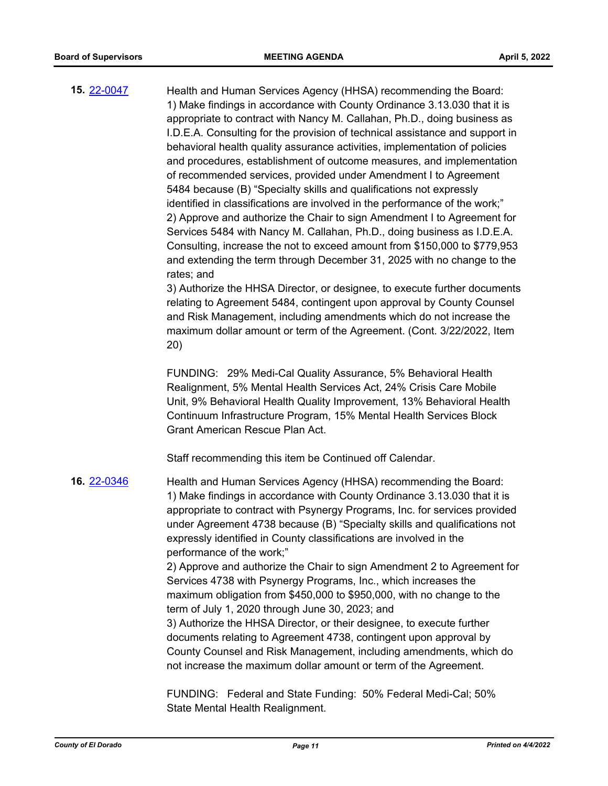Health and Human Services Agency (HHSA) recommending the Board: 1) Make findings in accordance with County Ordinance 3.13.030 that it is appropriate to contract with Nancy M. Callahan, Ph.D., doing business as I.D.E.A. Consulting for the provision of technical assistance and support in behavioral health quality assurance activities, implementation of policies and procedures, establishment of outcome measures, and implementation of recommended services, provided under Amendment I to Agreement 5484 because (B) "Specialty skills and qualifications not expressly identified in classifications are involved in the performance of the work;" 2) Approve and authorize the Chair to sign Amendment I to Agreement for Services 5484 with Nancy M. Callahan, Ph.D., doing business as I.D.E.A. Consulting, increase the not to exceed amount from \$150,000 to \$779,953 and extending the term through December 31, 2025 with no change to the rates; and **15.** [22-0047](http://eldorado.legistar.com/gateway.aspx?m=l&id=/matter.aspx?key=30947)

> 3) Authorize the HHSA Director, or designee, to execute further documents relating to Agreement 5484, contingent upon approval by County Counsel and Risk Management, including amendments which do not increase the maximum dollar amount or term of the Agreement. (Cont. 3/22/2022, Item 20)

FUNDING: 29% Medi-Cal Quality Assurance, 5% Behavioral Health Realignment, 5% Mental Health Services Act, 24% Crisis Care Mobile Unit, 9% Behavioral Health Quality Improvement, 13% Behavioral Health Continuum Infrastructure Program, 15% Mental Health Services Block Grant American Rescue Plan Act.

Staff recommending this item be Continued off Calendar.

Health and Human Services Agency (HHSA) recommending the Board: 1) Make findings in accordance with County Ordinance 3.13.030 that it is appropriate to contract with Psynergy Programs, Inc. for services provided under Agreement 4738 because (B) "Specialty skills and qualifications not expressly identified in County classifications are involved in the performance of the work;" 2) Approve and authorize the Chair to sign Amendment 2 to Agreement for Services 4738 with Psynergy Programs, Inc., which increases the maximum obligation from \$450,000 to \$950,000, with no change to the term of July 1, 2020 through June 30, 2023; and 3) Authorize the HHSA Director, or their designee, to execute further documents relating to Agreement 4738, contingent upon approval by County Counsel and Risk Management, including amendments, which do not increase the maximum dollar amount or term of the Agreement. **16.** [22-0346](http://eldorado.legistar.com/gateway.aspx?m=l&id=/matter.aspx?key=31247)

> FUNDING: Federal and State Funding: 50% Federal Medi-Cal; 50% State Mental Health Realignment.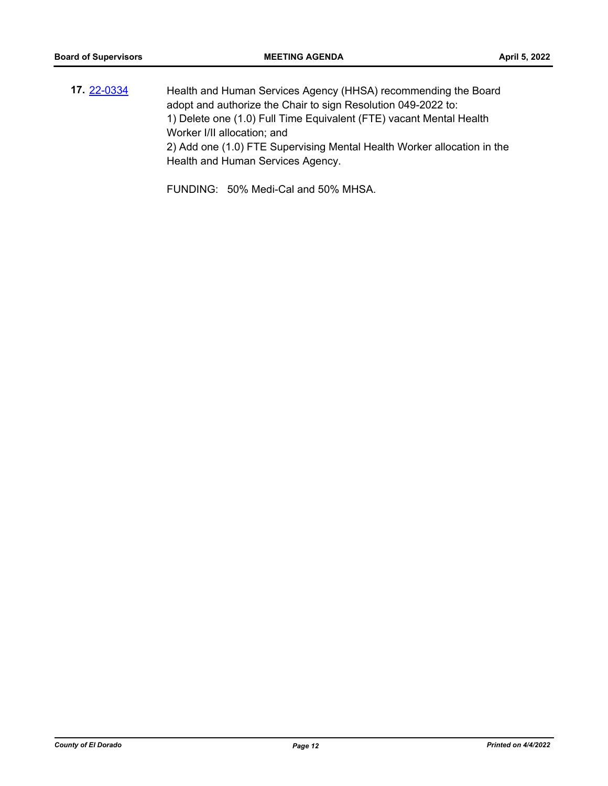Health and Human Services Agency (HHSA) recommending the Board adopt and authorize the Chair to sign Resolution 049-2022 to: 1) Delete one (1.0) Full Time Equivalent (FTE) vacant Mental Health Worker I/II allocation; and 2) Add one (1.0) FTE Supervising Mental Health Worker allocation in the Health and Human Services Agency. **17.** [22-0334](http://eldorado.legistar.com/gateway.aspx?m=l&id=/matter.aspx?key=31235)

FUNDING: 50% Medi-Cal and 50% MHSA.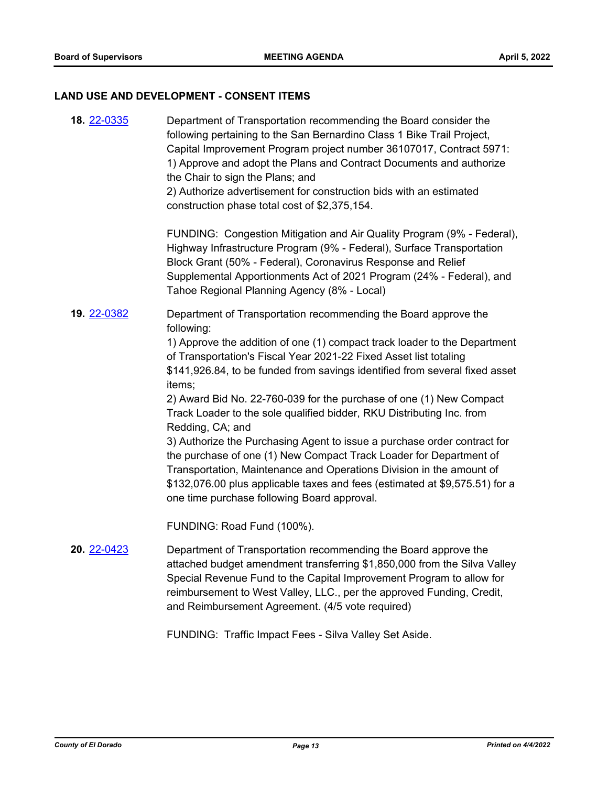## **LAND USE AND DEVELOPMENT - CONSENT ITEMS**

| 18. 22-0335 | Department of Transportation recommending the Board consider the<br>following pertaining to the San Bernardino Class 1 Bike Trail Project,<br>Capital Improvement Program project number 36107017, Contract 5971:<br>1) Approve and adopt the Plans and Contract Documents and authorize<br>the Chair to sign the Plans; and<br>2) Authorize advertisement for construction bids with an estimated<br>construction phase total cost of \$2,375,154.<br>FUNDING: Congestion Mitigation and Air Quality Program (9% - Federal),                                                                                                                                                                                                                                                                                                                        |
|-------------|------------------------------------------------------------------------------------------------------------------------------------------------------------------------------------------------------------------------------------------------------------------------------------------------------------------------------------------------------------------------------------------------------------------------------------------------------------------------------------------------------------------------------------------------------------------------------------------------------------------------------------------------------------------------------------------------------------------------------------------------------------------------------------------------------------------------------------------------------|
|             | Highway Infrastructure Program (9% - Federal), Surface Transportation<br>Block Grant (50% - Federal), Coronavirus Response and Relief<br>Supplemental Apportionments Act of 2021 Program (24% - Federal), and<br>Tahoe Regional Planning Agency (8% - Local)                                                                                                                                                                                                                                                                                                                                                                                                                                                                                                                                                                                         |
| 19. 22-0382 | Department of Transportation recommending the Board approve the<br>following:<br>1) Approve the addition of one (1) compact track loader to the Department<br>of Transportation's Fiscal Year 2021-22 Fixed Asset list totaling<br>\$141,926.84, to be funded from savings identified from several fixed asset<br>items;<br>2) Award Bid No. 22-760-039 for the purchase of one (1) New Compact<br>Track Loader to the sole qualified bidder, RKU Distributing Inc. from<br>Redding, CA; and<br>3) Authorize the Purchasing Agent to issue a purchase order contract for<br>the purchase of one (1) New Compact Track Loader for Department of<br>Transportation, Maintenance and Operations Division in the amount of<br>\$132,076.00 plus applicable taxes and fees (estimated at \$9,575.51) for a<br>one time purchase following Board approval. |
| 20. 22-0423 | FUNDING: Road Fund (100%).<br>Department of Transportation recommending the Board approve the<br>attached budget amendment transferring \$1,850,000 from the Silva Valley<br>Special Revenue Fund to the Capital Improvement Program to allow for<br>reimbursement to West Valley, LLC., per the approved Funding, Credit,<br>and Reimbursement Agreement. (4/5 vote required)                                                                                                                                                                                                                                                                                                                                                                                                                                                                       |

FUNDING: Traffic Impact Fees - Silva Valley Set Aside.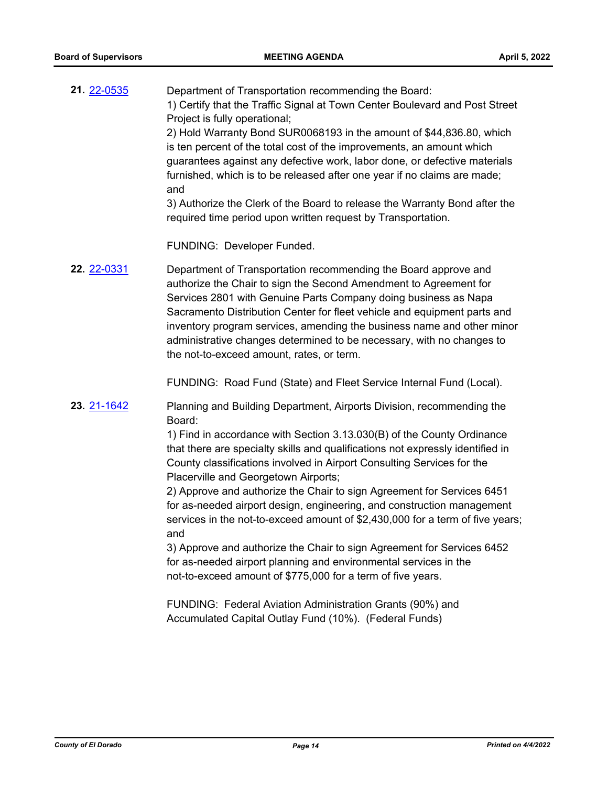| 21. 22-0535 | Department of Transportation recommending the Board:<br>1) Certify that the Traffic Signal at Town Center Boulevard and Post Street<br>Project is fully operational;<br>2) Hold Warranty Bond SUR0068193 in the amount of \$44,836.80, which<br>is ten percent of the total cost of the improvements, an amount which<br>guarantees against any defective work, labor done, or defective materials<br>furnished, which is to be released after one year if no claims are made;<br>and<br>3) Authorize the Clerk of the Board to release the Warranty Bond after the<br>required time period upon written request by Transportation.<br>FUNDING: Developer Funded.                                                                                                                                                                                                                                                                             |
|-------------|-----------------------------------------------------------------------------------------------------------------------------------------------------------------------------------------------------------------------------------------------------------------------------------------------------------------------------------------------------------------------------------------------------------------------------------------------------------------------------------------------------------------------------------------------------------------------------------------------------------------------------------------------------------------------------------------------------------------------------------------------------------------------------------------------------------------------------------------------------------------------------------------------------------------------------------------------|
| 22. 22-0331 | Department of Transportation recommending the Board approve and<br>authorize the Chair to sign the Second Amendment to Agreement for<br>Services 2801 with Genuine Parts Company doing business as Napa<br>Sacramento Distribution Center for fleet vehicle and equipment parts and<br>inventory program services, amending the business name and other minor<br>administrative changes determined to be necessary, with no changes to<br>the not-to-exceed amount, rates, or term.                                                                                                                                                                                                                                                                                                                                                                                                                                                           |
|             | FUNDING: Road Fund (State) and Fleet Service Internal Fund (Local).                                                                                                                                                                                                                                                                                                                                                                                                                                                                                                                                                                                                                                                                                                                                                                                                                                                                           |
| 23. 21-1642 | Planning and Building Department, Airports Division, recommending the<br>Board:<br>1) Find in accordance with Section 3.13.030(B) of the County Ordinance<br>that there are specialty skills and qualifications not expressly identified in<br>County classifications involved in Airport Consulting Services for the<br>Placerville and Georgetown Airports;<br>2) Approve and authorize the Chair to sign Agreement for Services 6451<br>for as-needed airport design, engineering, and construction management<br>services in the not-to-exceed amount of \$2,430,000 for a term of five years;<br>and<br>3) Approve and authorize the Chair to sign Agreement for Services 6452<br>for as-needed airport planning and environmental services in the<br>not-to-exceed amount of \$775,000 for a term of five years.<br>FUNDING: Federal Aviation Administration Grants (90%) and<br>Accumulated Capital Outlay Fund (10%). (Federal Funds) |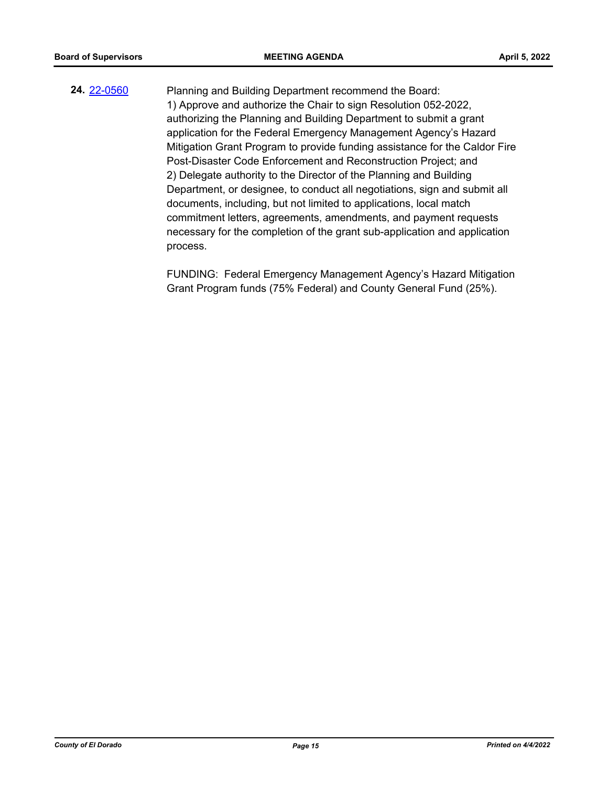## Planning and Building Department recommend the Board: 1) Approve and authorize the Chair to sign Resolution 052-2022, authorizing the Planning and Building Department to submit a grant application for the Federal Emergency Management Agency's Hazard Mitigation Grant Program to provide funding assistance for the Caldor Fire Post-Disaster Code Enforcement and Reconstruction Project; and 2) Delegate authority to the Director of the Planning and Building Department, or designee, to conduct all negotiations, sign and submit all documents, including, but not limited to applications, local match commitment letters, agreements, amendments, and payment requests necessary for the completion of the grant sub-application and application process. **24.** [22-0560](http://eldorado.legistar.com/gateway.aspx?m=l&id=/matter.aspx?key=31461)

FUNDING: Federal Emergency Management Agency's Hazard Mitigation Grant Program funds (75% Federal) and County General Fund (25%).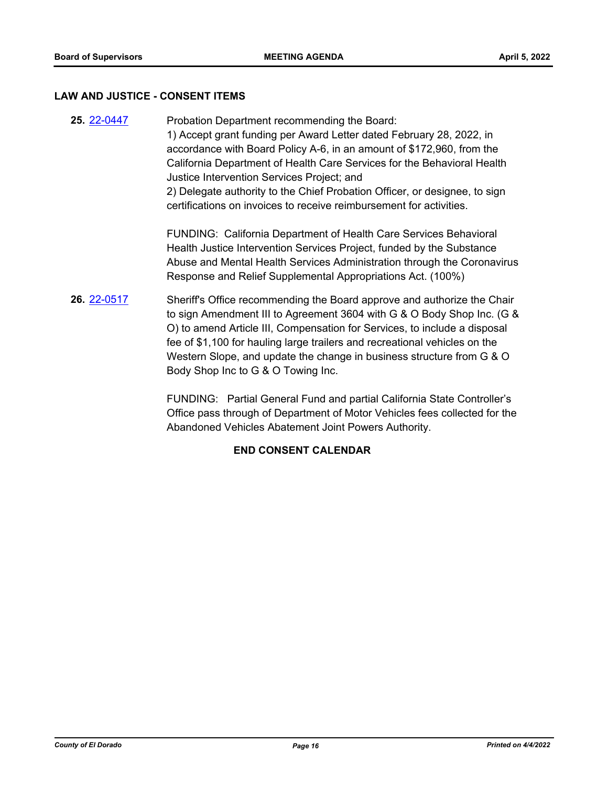## **LAW AND JUSTICE - CONSENT ITEMS**

| 25. 22-0447        | Probation Department recommending the Board:<br>1) Accept grant funding per Award Letter dated February 28, 2022, in<br>accordance with Board Policy A-6, in an amount of \$172,960, from the<br>California Department of Health Care Services for the Behavioral Health<br>Justice Intervention Services Project; and<br>2) Delegate authority to the Chief Probation Officer, or designee, to sign<br>certifications on invoices to receive reimbursement for activities. |
|--------------------|-----------------------------------------------------------------------------------------------------------------------------------------------------------------------------------------------------------------------------------------------------------------------------------------------------------------------------------------------------------------------------------------------------------------------------------------------------------------------------|
|                    | FUNDING: California Department of Health Care Services Behavioral<br>Health Justice Intervention Services Project, funded by the Substance<br>Abuse and Mental Health Services Administration through the Coronavirus<br>Response and Relief Supplemental Appropriations Act. (100%)                                                                                                                                                                                        |
| <b>26. 22-0517</b> | Sheriff's Office recommending the Board approve and authorize the Chair<br>to sign Amendment III to Agreement 3604 with G & O Body Shop Inc. (G &<br>O) to amend Article III, Compensation for Services, to include a disposal<br>fee of \$1,100 for hauling large trailers and recreational vehicles on the<br>Western Slope, and update the change in business structure from G & O<br>Body Shop Inc to G & O Towing Inc.                                                 |

FUNDING: Partial General Fund and partial California State Controller's Office pass through of Department of Motor Vehicles fees collected for the Abandoned Vehicles Abatement Joint Powers Authority.

## **END CONSENT CALENDAR**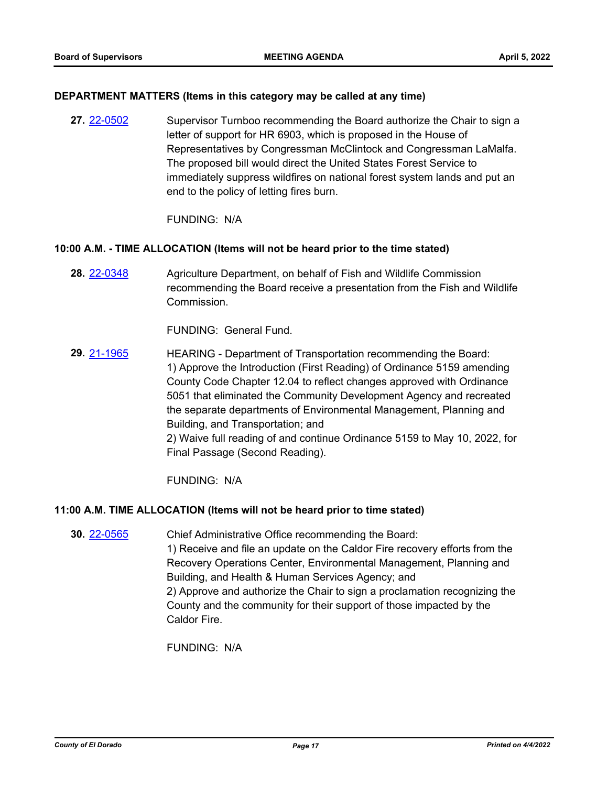#### **DEPARTMENT MATTERS (Items in this category may be called at any time)**

Supervisor Turnboo recommending the Board authorize the Chair to sign a letter of support for HR 6903, which is proposed in the House of Representatives by Congressman McClintock and Congressman LaMalfa. The proposed bill would direct the United States Forest Service to immediately suppress wildfires on national forest system lands and put an end to the policy of letting fires burn. **27.** [22-0502](http://eldorado.legistar.com/gateway.aspx?m=l&id=/matter.aspx?key=31403)

FUNDING: N/A

#### **10:00 A.M. - TIME ALLOCATION (Items will not be heard prior to the time stated)**

Agriculture Department, on behalf of Fish and Wildlife Commission recommending the Board receive a presentation from the Fish and Wildlife Commission. **28.** [22-0348](http://eldorado.legistar.com/gateway.aspx?m=l&id=/matter.aspx?key=31249)

FUNDING: General Fund.

HEARING - Department of Transportation recommending the Board: 1) Approve the Introduction (First Reading) of Ordinance 5159 amending County Code Chapter 12.04 to reflect changes approved with Ordinance 5051 that eliminated the Community Development Agency and recreated the separate departments of Environmental Management, Planning and Building, and Transportation; and 2) Waive full reading of and continue Ordinance 5159 to May 10, 2022, for Final Passage (Second Reading). **29.** [21-1965](http://eldorado.legistar.com/gateway.aspx?m=l&id=/matter.aspx?key=30861)

FUNDING: N/A

#### **11:00 A.M. TIME ALLOCATION (Items will not be heard prior to time stated)**

Chief Administrative Office recommending the Board: 1) Receive and file an update on the Caldor Fire recovery efforts from the Recovery Operations Center, Environmental Management, Planning and Building, and Health & Human Services Agency; and 2) Approve and authorize the Chair to sign a proclamation recognizing the County and the community for their support of those impacted by the Caldor Fire. **30.** [22-0565](http://eldorado.legistar.com/gateway.aspx?m=l&id=/matter.aspx?key=31466)

FUNDING: N/A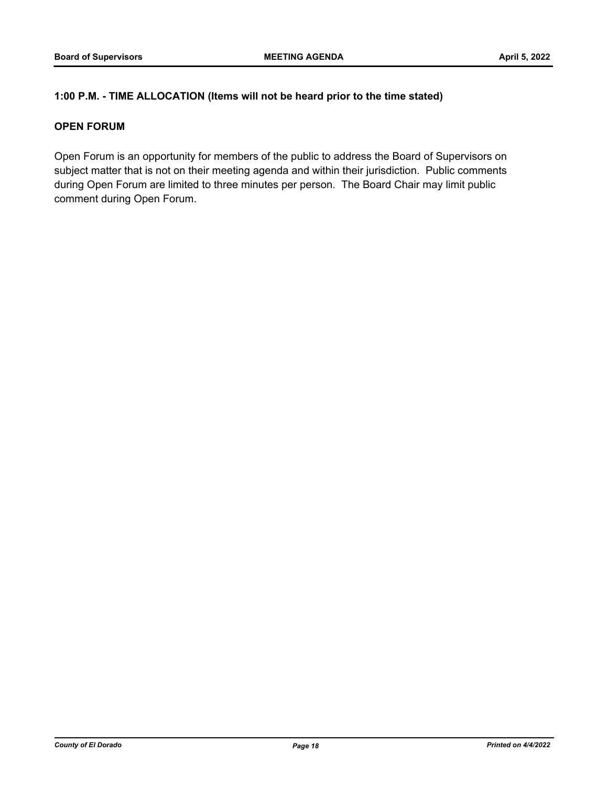### **1:00 P.M. - TIME ALLOCATION (Items will not be heard prior to the time stated)**

## **OPEN FORUM**

Open Forum is an opportunity for members of the public to address the Board of Supervisors on subject matter that is not on their meeting agenda and within their jurisdiction. Public comments during Open Forum are limited to three minutes per person. The Board Chair may limit public comment during Open Forum.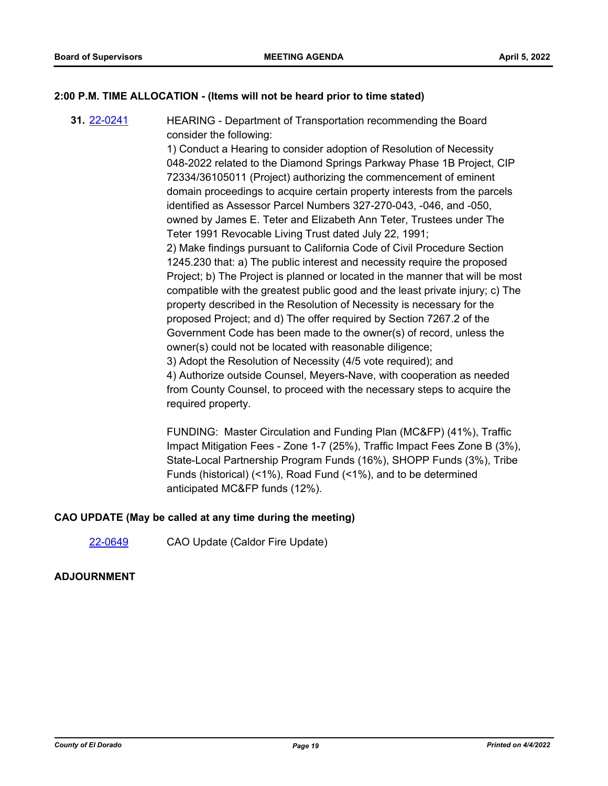## **2:00 P.M. TIME ALLOCATION - (Items will not be heard prior to time stated)**

HEARING - Department of Transportation recommending the Board consider the following: **31.** [22-0241](http://eldorado.legistar.com/gateway.aspx?m=l&id=/matter.aspx?key=31142)

1) Conduct a Hearing to consider adoption of Resolution of Necessity 048-2022 related to the Diamond Springs Parkway Phase 1B Project, CIP 72334/36105011 (Project) authorizing the commencement of eminent domain proceedings to acquire certain property interests from the parcels identified as Assessor Parcel Numbers 327-270-043, -046, and -050, owned by James E. Teter and Elizabeth Ann Teter, Trustees under The Teter 1991 Revocable Living Trust dated July 22, 1991; 2) Make findings pursuant to California Code of Civil Procedure Section 1245.230 that: a) The public interest and necessity require the proposed Project; b) The Project is planned or located in the manner that will be most compatible with the greatest public good and the least private injury; c) The property described in the Resolution of Necessity is necessary for the proposed Project; and d) The offer required by Section 7267.2 of the Government Code has been made to the owner(s) of record, unless the owner(s) could not be located with reasonable diligence; 3) Adopt the Resolution of Necessity (4/5 vote required); and

4) Authorize outside Counsel, Meyers-Nave, with cooperation as needed from County Counsel, to proceed with the necessary steps to acquire the required property.

FUNDING: Master Circulation and Funding Plan (MC&FP) (41%), Traffic Impact Mitigation Fees - Zone 1-7 (25%), Traffic Impact Fees Zone B (3%), State-Local Partnership Program Funds (16%), SHOPP Funds (3%), Tribe Funds (historical) (<1%), Road Fund (<1%), and to be determined anticipated MC&FP funds (12%).

#### **CAO UPDATE (May be called at any time during the meeting)**

[22-0649](http://eldorado.legistar.com/gateway.aspx?m=l&id=/matter.aspx?key=31550) CAO Update (Caldor Fire Update)

#### **ADJOURNMENT**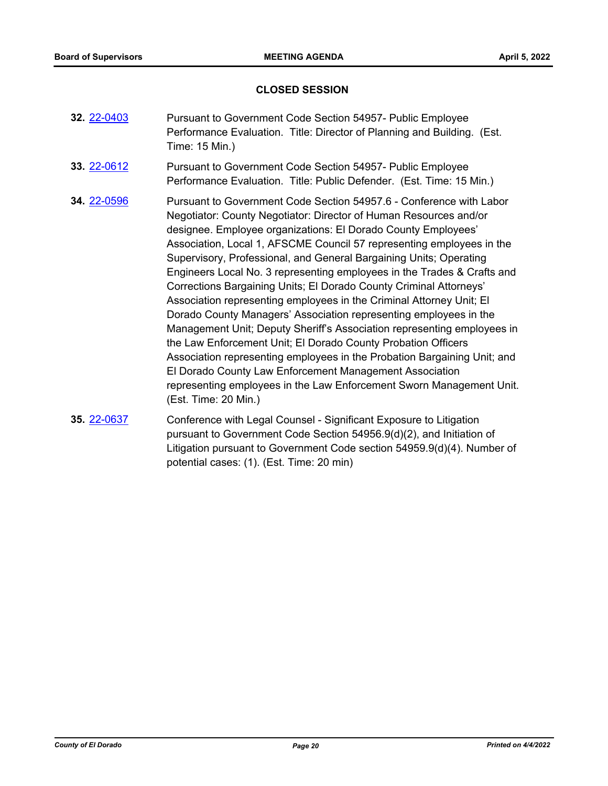## **CLOSED SESSION**

| 32. 22-0403 | Pursuant to Government Code Section 54957- Public Employee<br>Performance Evaluation. Title: Director of Planning and Building. (Est.<br>Time: 15 Min.)                                                                                                                                                                                                                                                                                                                                                                                                                                                                                                                                                                                                                                                                                                                                                                                                                                                                                   |
|-------------|-------------------------------------------------------------------------------------------------------------------------------------------------------------------------------------------------------------------------------------------------------------------------------------------------------------------------------------------------------------------------------------------------------------------------------------------------------------------------------------------------------------------------------------------------------------------------------------------------------------------------------------------------------------------------------------------------------------------------------------------------------------------------------------------------------------------------------------------------------------------------------------------------------------------------------------------------------------------------------------------------------------------------------------------|
| 33. 22-0612 | Pursuant to Government Code Section 54957- Public Employee<br>Performance Evaluation. Title: Public Defender. (Est. Time: 15 Min.)                                                                                                                                                                                                                                                                                                                                                                                                                                                                                                                                                                                                                                                                                                                                                                                                                                                                                                        |
| 34. 22-0596 | Pursuant to Government Code Section 54957.6 - Conference with Labor<br>Negotiator: County Negotiator: Director of Human Resources and/or<br>designee. Employee organizations: El Dorado County Employees'<br>Association, Local 1, AFSCME Council 57 representing employees in the<br>Supervisory, Professional, and General Bargaining Units; Operating<br>Engineers Local No. 3 representing employees in the Trades & Crafts and<br>Corrections Bargaining Units; El Dorado County Criminal Attorneys'<br>Association representing employees in the Criminal Attorney Unit; El<br>Dorado County Managers' Association representing employees in the<br>Management Unit; Deputy Sheriff's Association representing employees in<br>the Law Enforcement Unit; El Dorado County Probation Officers<br>Association representing employees in the Probation Bargaining Unit; and<br>El Dorado County Law Enforcement Management Association<br>representing employees in the Law Enforcement Sworn Management Unit.<br>(Est. Time: 20 Min.) |
| 35. 22-0637 | Conference with Legal Counsel - Significant Exposure to Litigation<br>pursuant to Government Code Section 54956.9(d)(2), and Initiation of<br>Litigation pursuant to Government Code section 54959.9(d)(4). Number of<br>potential cases: (1). (Est. Time: 20 min)                                                                                                                                                                                                                                                                                                                                                                                                                                                                                                                                                                                                                                                                                                                                                                        |